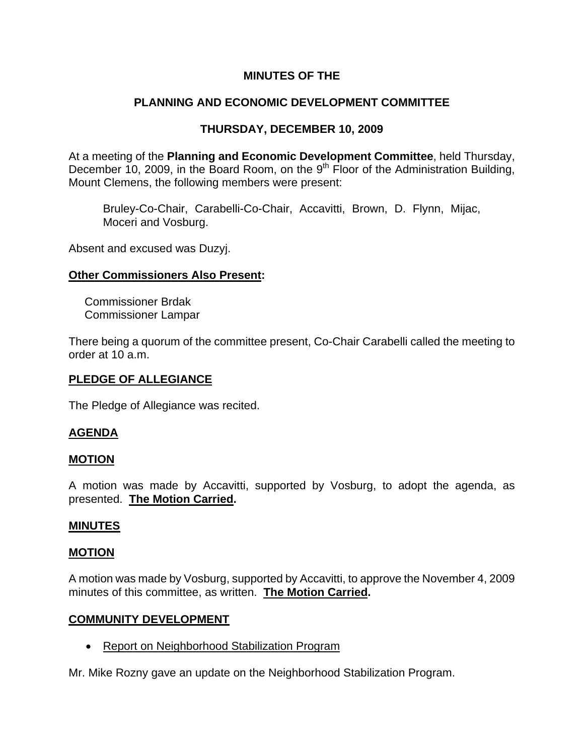## **MINUTES OF THE**

# **PLANNING AND ECONOMIC DEVELOPMENT COMMITTEE**

# **THURSDAY, DECEMBER 10, 2009**

At a meeting of the **Planning and Economic Development Committee**, held Thursday, December 10, 2009, in the Board Room, on the 9<sup>th</sup> Floor of the Administration Building, Mount Clemens, the following members were present:

Bruley-Co-Chair, Carabelli-Co-Chair, Accavitti, Brown, D. Flynn, Mijac, Moceri and Vosburg.

Absent and excused was Duzyj.

## **Other Commissioners Also Present:**

 Commissioner Brdak Commissioner Lampar

There being a quorum of the committee present, Co-Chair Carabelli called the meeting to order at 10 a.m.

## **PLEDGE OF ALLEGIANCE**

The Pledge of Allegiance was recited.

## **AGENDA**

## **MOTION**

A motion was made by Accavitti, supported by Vosburg, to adopt the agenda, as presented. **The Motion Carried.** 

### **MINUTES**

### **MOTION**

A motion was made by Vosburg, supported by Accavitti, to approve the November 4, 2009 minutes of this committee, as written. **The Motion Carried.** 

### **COMMUNITY DEVELOPMENT**

• Report on Neighborhood Stabilization Program

Mr. Mike Rozny gave an update on the Neighborhood Stabilization Program.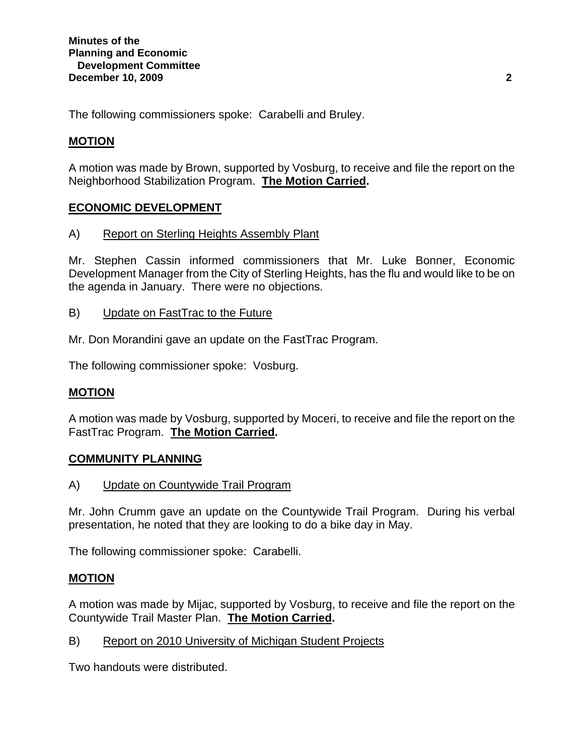The following commissioners spoke: Carabelli and Bruley.

# **MOTION**

A motion was made by Brown, supported by Vosburg, to receive and file the report on the Neighborhood Stabilization Program. **The Motion Carried.** 

## **ECONOMIC DEVELOPMENT**

A) Report on Sterling Heights Assembly Plant

Mr. Stephen Cassin informed commissioners that Mr. Luke Bonner, Economic Development Manager from the City of Sterling Heights, has the flu and would like to be on the agenda in January. There were no objections.

- B) Update on FastTrac to the Future
- Mr. Don Morandini gave an update on the FastTrac Program.

The following commissioner spoke: Vosburg.

## **MOTION**

A motion was made by Vosburg, supported by Moceri, to receive and file the report on the FastTrac Program. **The Motion Carried.** 

### **COMMUNITY PLANNING**

A) Update on Countywide Trail Program

Mr. John Crumm gave an update on the Countywide Trail Program. During his verbal presentation, he noted that they are looking to do a bike day in May.

The following commissioner spoke: Carabelli.

## **MOTION**

A motion was made by Mijac, supported by Vosburg, to receive and file the report on the Countywide Trail Master Plan. **The Motion Carried.** 

B) Report on 2010 University of Michigan Student Projects

Two handouts were distributed.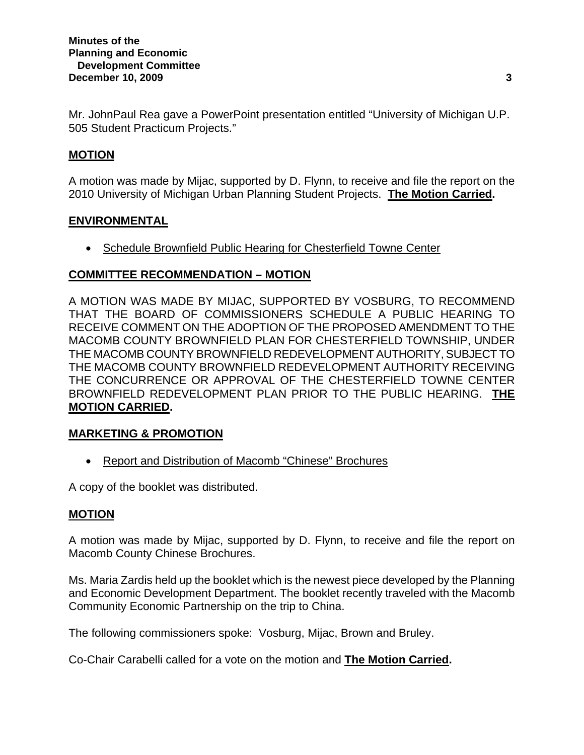Mr. JohnPaul Rea gave a PowerPoint presentation entitled "University of Michigan U.P. 505 Student Practicum Projects."

## **MOTION**

A motion was made by Mijac, supported by D. Flynn, to receive and file the report on the 2010 University of Michigan Urban Planning Student Projects. **The Motion Carried.** 

## **ENVIRONMENTAL**

• Schedule Brownfield Public Hearing for Chesterfield Towne Center

# **COMMITTEE RECOMMENDATION – MOTION**

A MOTION WAS MADE BY MIJAC, SUPPORTED BY VOSBURG, TO RECOMMEND THAT THE BOARD OF COMMISSIONERS SCHEDULE A PUBLIC HEARING TO RECEIVE COMMENT ON THE ADOPTION OF THE PROPOSED AMENDMENT TO THE MACOMB COUNTY BROWNFIELD PLAN FOR CHESTERFIELD TOWNSHIP, UNDER THE MACOMB COUNTY BROWNFIELD REDEVELOPMENT AUTHORITY, SUBJECT TO THE MACOMB COUNTY BROWNFIELD REDEVELOPMENT AUTHORITY RECEIVING THE CONCURRENCE OR APPROVAL OF THE CHESTERFIELD TOWNE CENTER BROWNFIELD REDEVELOPMENT PLAN PRIOR TO THE PUBLIC HEARING. **THE MOTION CARRIED.** 

## **MARKETING & PROMOTION**

• Report and Distribution of Macomb "Chinese" Brochures

A copy of the booklet was distributed.

## **MOTION**

A motion was made by Mijac, supported by D. Flynn, to receive and file the report on Macomb County Chinese Brochures.

Ms. Maria Zardis held up the booklet which is the newest piece developed by the Planning and Economic Development Department. The booklet recently traveled with the Macomb Community Economic Partnership on the trip to China.

The following commissioners spoke: Vosburg, Mijac, Brown and Bruley.

Co-Chair Carabelli called for a vote on the motion and **The Motion Carried.**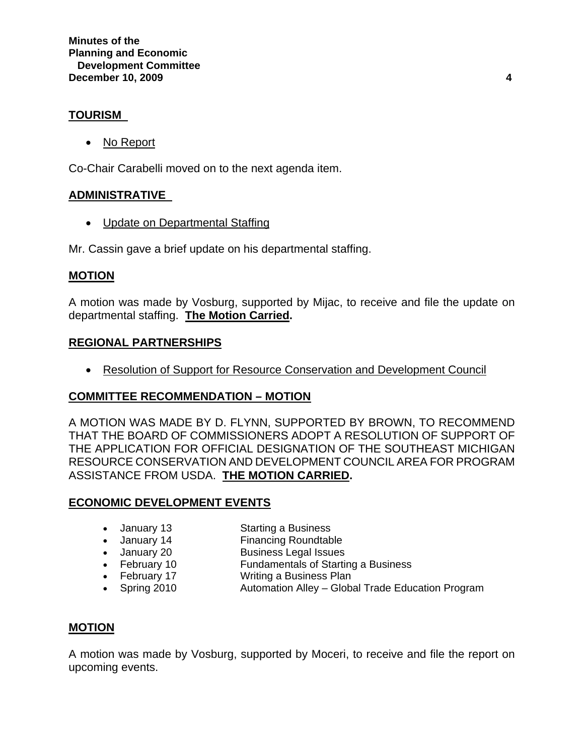## **TOURISM**

• No Report

Co-Chair Carabelli moved on to the next agenda item.

## **ADMINISTRATIVE**

• Update on Departmental Staffing

Mr. Cassin gave a brief update on his departmental staffing.

### **MOTION**

A motion was made by Vosburg, supported by Mijac, to receive and file the update on departmental staffing. **The Motion Carried.** 

### **REGIONAL PARTNERSHIPS**

• Resolution of Support for Resource Conservation and Development Council

## **COMMITTEE RECOMMENDATION – MOTION**

A MOTION WAS MADE BY D. FLYNN, SUPPORTED BY BROWN, TO RECOMMEND THAT THE BOARD OF COMMISSIONERS ADOPT A RESOLUTION OF SUPPORT OF THE APPLICATION FOR OFFICIAL DESIGNATION OF THE SOUTHEAST MICHIGAN RESOURCE CONSERVATION AND DEVELOPMENT COUNCIL AREA FOR PROGRAM ASSISTANCE FROM USDA. **THE MOTION CARRIED.** 

## **ECONOMIC DEVELOPMENT EVENTS**

- January 13 Starting a Business
- January 14 Financing Roundtable
- January 20 Business Legal Issues<br>• February 10 Fundamentals of Startin
- **Fundamentals of Starting a Business**
- February 17 Writing a Business Plan
- Spring 2010 Automation Alley Global Trade Education Program

## **MOTION**

A motion was made by Vosburg, supported by Moceri, to receive and file the report on upcoming events.